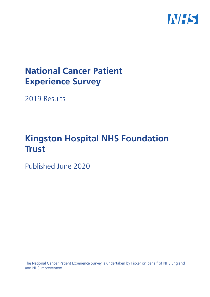

# **National Cancer Patient Experience Survey**

2019 Results

# **Kingston Hospital NHS Foundation Trust**

Published June 2020

The National Cancer Patient Experience Survey is undertaken by Picker on behalf of NHS England and NHS Improvement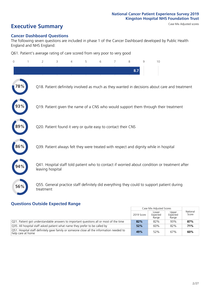# **Executive Summary** Case Mix Adjusted scores

#### **Cancer Dashboard Questions**

The following seven questions are included in phase 1 of the Cancer Dashboard developed by Public Health England and NHS England:

Q61. Patient's average rating of care scored from very poor to very good

| $\overline{0}$ | $\overline{2}$   | 3                                                             | $\overline{4}$ | 5 | 6 | $\overline{7}$ | 8   | 9 | 10                                                                                            |  |
|----------------|------------------|---------------------------------------------------------------|----------------|---|---|----------------|-----|---|-----------------------------------------------------------------------------------------------|--|
|                |                  |                                                               |                |   |   |                | 8.7 |   |                                                                                               |  |
| $^{\prime}8\%$ |                  |                                                               |                |   |   |                |     |   | Q18. Patient definitely involved as much as they wanted in decisions about care and treatment |  |
|                |                  |                                                               |                |   |   |                |     |   | Q19. Patient given the name of a CNS who would support them through their treatment           |  |
|                |                  | Q20. Patient found it very or quite easy to contact their CNS |                |   |   |                |     |   |                                                                                               |  |
| 86%            |                  |                                                               |                |   |   |                |     |   | Q39. Patient always felt they were treated with respect and dignity while in hospital         |  |
|                | leaving hospital |                                                               |                |   |   |                |     |   | Q41. Hospital staff told patient who to contact if worried about condition or treatment after |  |
| 56%            | treatment        |                                                               |                |   |   |                |     |   | Q55. General practice staff definitely did everything they could to support patient during    |  |
|                |                  |                                                               |                |   |   |                |     |   |                                                                                               |  |

### **Questions Outside Expected Range**

|                                                                                                                          |            | Case Mix Adjusted Scores   |                            |                   |
|--------------------------------------------------------------------------------------------------------------------------|------------|----------------------------|----------------------------|-------------------|
|                                                                                                                          | 2019 Score | Lower<br>Expected<br>Range | Upper<br>Expected<br>Range | National<br>Score |
| Q21. Patient got understandable answers to important questions all or most of the time                                   | 82%        | 82%                        | 93%                        | 87%               |
| Q35. All hospital staff asked patient what name they prefer to be called by                                              | 52%        | 60%                        | 82%                        | 71%               |
| $\sqrt{Q51}$ . Hospital staff definitely gave family or someone close all the information needed to<br>help care at home | 49%        | 52%                        | 67%                        | 60%               |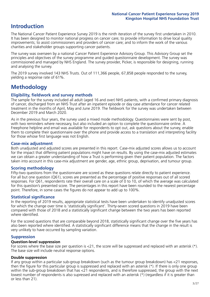## **Introduction**

The National Cancer Patient Experience Survey 2019 is the ninth iteration of the survey first undertaken in 2010. It has been designed to monitor national progress on cancer care; to provide information to drive local quality improvements; to assist commissioners and providers of cancer care; and to inform the work of the various charities and stakeholder groups supporting cancer patients.

The survey was overseen by a national Cancer Patient Experience Advisory Group. This Advisory Group set the principles and objectives of the survey programme and guided questionnaire development. The survey was commissioned and managed by NHS England. The survey provider, Picker, is responsible for designing, running and analysing the survey.

The 2019 survey involved 143 NHS Trusts. Out of 111,366 people, 67,858 people responded to the survey, yielding a response rate of 61%.

# **Methodology**

#### **Eligibility, eldwork and survey methods**

The sample for the survey included all adult (aged 16 and over) NHS patients, with a confirmed primary diagnosis of cancer, discharged from an NHS Trust after an inpatient episode or day case attendance for cancer related treatment in the months of April, May and June 2019. The fieldwork for the survey was undertaken between December 2019 and March 2020.

As in the previous four years, the survey used a mixed mode methodology. Questionnaires were sent by post, with two reminders where necessary, but also included an option to complete the questionnaire online. A Freephone helpline and email was available for respondents to opt out, ask questions about the survey, enable them to complete their questionnaire over the phone and provide access to a translation and interpreting facility for those whose first language was not English.

#### **Case-mix adjustment**

Both unadjusted and adjusted scores are presented in this report. Case-mix adjusted scores allows us to account for the impact that differing patient populations might have on results. By using the case-mix adjusted estimates we can obtain a greater understanding of how a Trust is performing given their patient population. The factors taken into account in this case-mix adjustment are gender, age, ethnic group, deprivation, and tumour group.

#### **Scoring methodology**

Fifty-two questions from the questionnaire are scored as these questions relate directly to patient experience. For all but one question (Q61), scores are presented as the percentage of positive responses out of all scored responses. For Q61, respondents rate their overall care on a scale of 0 to 10, of which the average was calculated for this question's presented score. The percentages in this report have been rounded to the nearest percentage point. Therefore, in some cases the figures do not appear to add up to 100%.

#### **Statistical significance**

In the reporting of 2019 results, appropriate statistical tests have been undertaken to identify unadjusted scores for which the change over time is 'statistically significant'. Thirty-seven scored questions in 2019 have been compared with those of 2018 and a statistically significant change between the two years has been reported where identified.

For the scored questions that are comparable beyond 2018, statistically significant change over the five years has also been reported where identified. A statistically significant difference means that the change in the result is very unlikely to have occurred by sampling variation.

#### **Suppression**

#### **Question-level suppression**

For scores where the base size per question is  $<$ 21, the score will be suppressed and replaced with an asterisk (\*). The base size will include neutral response options.

#### **Double suppression**

If any group within a particular sub-group breakdown (such as the tumour group breakdown) has <21 responses, then the figure for this particular group is suppressed and replaced with an asterisk (\*). If there is only one group within the sub-group breakdown that has <21 respondents, and is therefore suppressed, the group with the next lowest number of respondents is also supressed and replaced with an asterisk (\*) (regardless if it is greater than or less than 21).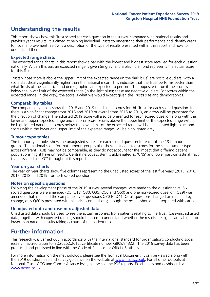# **Understanding the results**

This report shows how this Trust scored for each question in the survey, compared with national results and previous year's results. It is aimed at helping individual Trusts to understand their performance and identify areas for local improvement. Below is a description of the type of results presented within this report and how to understand them.

#### **Expected range charts**

The expected range charts in this report show a bar with the lowest and highest score received for each question nationally. Within this bar, an expected range is given (in grey) and a black diamond represents the actual score for this Trust.

Trusts whose score is above the upper limit of the expected range (in the dark blue) are positive outliers, with a score statistically significantly higher than the national mean. This indicates that the Trust performs better than what Trusts of the same size and demographics are expected to perform. The opposite is true if the score is below the lower limit of the expected range (in the light blue); these are negative outliers. For scores within the expected range (in the grey), the score is what we would expect given the Trust's size and demographics.

#### **Comparability tables**

The comparability tables show the 2018 and 2019 unadjusted scores for this Trust for each scored question. If there is a significant change from 2018 and 2019 or overall from 2015 to 2019, an arrow will be presented for the direction of change. The adjusted 2019 score will also be presented for each scored question along with the lower and upper expected range and national score. Scores above the upper limit of the expected range will be highlighted dark blue, scores below the lower limit of the expected range will be highlighted light blue, and scores within the lower and upper limit of the expected ranges will be highlighted grey.

#### **Tumour type tables**

The tumour type tables show the unadjusted scores for each scored question for each of the 13 tumour groups. The national score for that tumour group is also shown. Unadjusted scores for the same tumour type across different Trusts may not be comparable, as they do not account for the impact that differing patient populations might have on results. Central nervous system is abbreviated as 'CNS' and lower gastrointestinal tract is abbreviated as 'LGT' throughout this report.

#### **Year on year charts**

The year on year charts show five columns representing the unadjusted scores of the last five years (2015, 2016, 2017, 2018 and 2019) for each scored question.

#### **Notes on specific questions**

Following the development phase of the 2019 survey, several changes were made to the questionnaire. Six scored questions were amended (Q5, Q18, Q30, Q35, Q56 and Q60) and one non-scored question (Q29) was amended that impacted the comparability of questions Q30 to Q41. Of all questions changed or impacted by change, only Q60 is presented with historical comparisons; though the results should be interpreted with caution.

#### **Unadjusted data and case-mix adjusted data**

Unadjusted data should be used to see the actual responses from patients relating to the Trust. Case-mix adjusted data, together with expected ranges, should be used to understand whether the results are significantly higher or lower than national results taking account of the patient mix.

## **Further information**

This research was carried out in accordance with the international standard for organisations conducting social research (accreditation to ISO20252:2012; certificate number GB08/74322). The 2019 survey data has been produced and published in line with the Code of Practice for Official Statistics.

For more information on the methodology, please see the Technical Document. It can be viewed along with the 2019 questionnaire and survey quidance on the website at [www.ncpes.co.uk](https://www.ncpes.co.uk/supporting-documents). For all other outputs at National, Trust, CCG and Cancer Alliance level, please see the PDF reports, Excel tables and dashboards at [www.ncpes.co.uk.](https://www.ncpes.co.uk/current-results)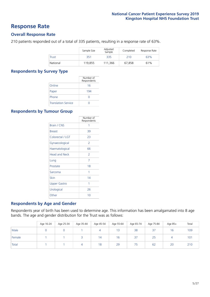### **Response Rate**

#### **Overall Response Rate**

210 patients responded out of a total of 335 patients, resulting in a response rate of 63%.

|              | Sample Size | Adjusted<br>Sample | Completed | Response Rate |
|--------------|-------------|--------------------|-----------|---------------|
| <b>Trust</b> | 351         | 335                | 210       | 63%           |
| National     | 119,855     | 111.366            | 67,858    | 61%           |

#### **Respondents by Survey Type**

|                            | Number of<br>Respondents |
|----------------------------|--------------------------|
| Online                     | 16                       |
| Paper                      | 194                      |
| Phone                      |                          |
| <b>Translation Service</b> |                          |

#### **Respondents by Tumour Group**

|                      | Number of<br>Respondents |
|----------------------|--------------------------|
| <b>Brain / CNS</b>   | 1                        |
| <b>Breast</b>        | 39                       |
| Colorectal / LGT     | 23                       |
| Gynaecological       | 2                        |
| Haematological       | 66                       |
| <b>Head and Neck</b> | $\mathcal{P}$            |
| Lung                 | 7                        |
| Prostate             | 18                       |
| Sarcoma              | 1                        |
| Skin                 | 14                       |
| <b>Upper Gastro</b>  | 1                        |
| Urological           | 26                       |
| Other                | 10                       |

#### **Respondents by Age and Gender**

Respondents year of birth has been used to determine age. This information has been amalgamated into 8 age bands. The age and gender distribution for the Trust was as follows:

|        | Age 16-24 | Age 25-34 | Age 35-44 | Age 45-54 | Age 55-64 | Age 65-74 | Age 75-84 | Age 85+ | Total |
|--------|-----------|-----------|-----------|-----------|-----------|-----------|-----------|---------|-------|
| Male   |           |           |           | 4         | 13        | 38        | 37        | 16      | 109   |
| Female |           |           |           | 14        | 16        | 37        | 25        | 4       | 101   |
| Total  |           |           |           | 18        | 29        | 75        | 62        | 20      | 210   |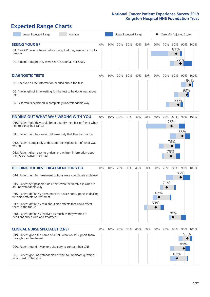# **Expected Range Charts**

| Lower Expected Range<br>Average                                                                                                                                                                                                                                                                                                                                                                                                                                                                                             |    |     | Upper Expected Range |     |     |     |                   | Case Mix Adjusted Score |                   |                 |                 |
|-----------------------------------------------------------------------------------------------------------------------------------------------------------------------------------------------------------------------------------------------------------------------------------------------------------------------------------------------------------------------------------------------------------------------------------------------------------------------------------------------------------------------------|----|-----|----------------------|-----|-----|-----|-------------------|-------------------------|-------------------|-----------------|-----------------|
| <b>SEEING YOUR GP</b><br>Q1. Saw GP once or twice before being told they needed to go to<br>hospital<br>Q2. Patient thought they were seen as soon as necessary                                                                                                                                                                                                                                                                                                                                                             | 0% | 10% | 20%                  | 30% | 40% | 50% | 60%               | 70%                     | 80%<br>81%        | 86%             | 90% 100%        |
| <b>DIAGNOSTIC TESTS</b><br>Q5. Received all the information needed about the test<br>Q6. The length of time waiting for the test to be done was about<br>right<br>Q7. Test results explained in completely understandable way                                                                                                                                                                                                                                                                                               | 0% | 10% | 20%                  | 30% | 40% | 50% | 60%               | 70%                     | 80%<br>83%        | 93%             | 90% 100%<br>96% |
| <b>FINDING OUT WHAT WAS WRONG WITH YOU</b><br>Q10. Patient told they could bring a family member or friend when<br>first told they had cancer<br>Q11. Patient felt they were told sensitively that they had cancer<br>Q12. Patient completely understood the explanation of what was<br>wrong<br>Q13. Patient given easy to understand written information about<br>the type of cancer they had                                                                                                                             | 0% | 10% | 20%                  | 30% | 40% | 50% | 60%               | 70%<br>75%              | 80%<br>76%<br>76% | 88%             | 90% 100%        |
| <b>DECIDING THE BEST TREATMENT FOR YOU</b><br>Q14. Patient felt that treatment options were completely explained<br>Q15. Patient felt possible side effects were definitely explained in<br>an understandable way<br>Q16. Patient definitely given practical advice and support in dealing<br>with side effects of treatment<br>Q17. Patient definitely told about side effects that could affect<br>them in the future<br>Q18. Patient definitely involved as much as they wanted in<br>decisions about care and treatment | 0% | 10% | 20%                  | 30% | 40% | 50% | 60%<br>62%<br>59% | 70%<br>71%              | 80%<br>78%        | 90% 100%<br>86% |                 |
| <b>CLINICAL NURSE SPECIALIST (CNS)</b><br>Q19. Patient given the name of a CNS who would support them<br>through their treatment<br>Q20. Patient found it very or quite easy to contact their CNS<br>Q21. Patient got understandable answers to important questions<br>all or most of the time                                                                                                                                                                                                                              | 0% | 10% | 20%                  | 30% | 40% | 50% | 60%               | 70%                     | 80%<br>82%        | 93%<br>89%      | 90% 100%        |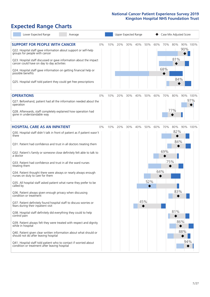# **Expected Range Charts**

| Lower Expected Range<br>Average                                                                                                                                                                            |    |     |     | Upper Expected Range |     |     |     |     | Case Mix Adjusted Score |     |          |
|------------------------------------------------------------------------------------------------------------------------------------------------------------------------------------------------------------|----|-----|-----|----------------------|-----|-----|-----|-----|-------------------------|-----|----------|
| <b>SUPPORT FOR PEOPLE WITH CANCER</b><br>Q22. Hospital staff gave information about support or self-help<br>groups for people with cancer                                                                  | 0% | 10% | 20% | 30%                  | 40% | 50% | 60% | 70% | 80%<br>81%              | 90% | 90% 100% |
| Q23. Hospital staff discussed or gave information about the impact<br>cancer could have on day to day activities<br>Q24. Hospital staff gave information on getting financial help or<br>possible benefits |    |     |     |                      |     |     |     | 68% |                         |     |          |
| Q25. Hospital staff told patient they could get free prescriptions                                                                                                                                         |    |     |     |                      |     |     |     |     | 84%                     |     |          |
| <b>OPERATIONS</b>                                                                                                                                                                                          | 0% | 10% | 20% | 30%                  | 40% | 50% | 60% | 70% | 80%                     |     | 90% 100% |
| Q27. Beforehand, patient had all the information needed about the<br>operation                                                                                                                             |    |     |     |                      |     |     |     |     |                         |     | 97%      |
| Q28. Afterwards, staff completely explained how operation had<br>gone in understandable way                                                                                                                |    |     |     |                      |     |     |     |     | 77%                     |     |          |
| <b>HOSPITAL CARE AS AN INPATIENT</b>                                                                                                                                                                       | 0% | 10% | 20% | 30%                  | 40% | 50% | 60% | 70% | 80%                     |     | 90% 100% |
| Q30. Hospital staff didn't talk in front of patient as if patient wasn't<br>there                                                                                                                          |    |     |     |                      |     |     |     |     | 82%<br>84%              |     |          |
| Q31. Patient had confidence and trust in all doctors treating them                                                                                                                                         |    |     |     |                      |     |     |     |     |                         |     |          |
| Q32. Patient's family or someone close definitely felt able to talk to<br>a doctor                                                                                                                         |    |     |     |                      |     |     |     | 69% |                         |     |          |
| Q33. Patient had confidence and trust in all the ward nurses<br>treating them                                                                                                                              |    |     |     |                      |     |     |     | 75% |                         |     |          |
| Q34. Patient thought there were always or nearly always enough<br>nurses on duty to care for them                                                                                                          |    |     |     |                      |     |     | 64% |     |                         |     |          |
| Q35. All hospital staff asked patient what name they prefer to be<br>called by                                                                                                                             |    |     |     |                      |     | 52% |     |     |                         |     |          |
| Q36. Patient always given enough privacy when discussing<br>condition or treatment                                                                                                                         |    |     |     |                      |     | 45% |     |     | 83%                     |     |          |
| Q37. Patient definitely found hospital staff to discuss worries or<br>fears during their inpatient visit                                                                                                   |    |     |     |                      |     |     |     |     |                         |     |          |
| Q38. Hospital staff definitely did everything they could to help<br>control pain                                                                                                                           |    |     |     |                      |     |     |     |     | 81%                     |     |          |
| Q39. Patient always felt they were treated with respect and dignity<br>while in hospital                                                                                                                   |    |     |     |                      |     |     |     |     |                         | 86% |          |
| Q40. Patient given clear written information about what should or<br>should not do after leaving hospital                                                                                                  |    |     |     |                      |     |     |     |     |                         | 88% |          |
| Q41. Hospital staff told patient who to contact if worried about<br>condition or treatment after leaving hospital                                                                                          |    |     |     |                      |     |     |     |     |                         | 94% |          |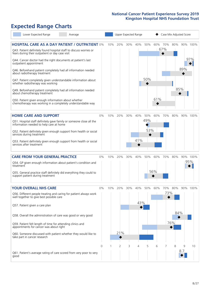# **Expected Range Charts**

| Lower Expected Range                                                                                                                                                                                                                                                                                                                                                                                                                                                                                                                                                                                                                                                                                   | Average |            |     | Upper Expected Range         |          |                 |                   |                |            | Case Mix Adjusted Score |            |                 |
|--------------------------------------------------------------------------------------------------------------------------------------------------------------------------------------------------------------------------------------------------------------------------------------------------------------------------------------------------------------------------------------------------------------------------------------------------------------------------------------------------------------------------------------------------------------------------------------------------------------------------------------------------------------------------------------------------------|---------|------------|-----|------------------------------|----------|-----------------|-------------------|----------------|------------|-------------------------|------------|-----------------|
| <b>HOSPITAL CARE AS A DAY PATIENT / OUTPATIENT 0%</b><br>Q43. Patient definitely found hospital staff to discuss worries or<br>fears during their outpatient or day case visit<br>Q44. Cancer doctor had the right documents at patient's last<br>outpatient appointment<br>Q46. Beforehand patient completely had all information needed<br>about radiotherapy treatment<br>Q47. Patient completely given understandable information about<br>whether radiotherapy was working<br>Q49. Beforehand patient completely had all information needed<br>about chemotherapy treatment<br>Q50. Patient given enough information about whether<br>chemotherapy was working in a completely understandable way |         |            | 10% | 20%                          | 30%      | 40%             | 50%<br>50%        | 60% 70%<br>61% | 67%        | 80%                     | 89%<br>85% | 90% 100%<br>97% |
| <b>HOME CARE AND SUPPORT</b><br>Q51. Hospital staff definitely gave family or someone close all the<br>information needed to help care at home<br>Q52. Patient definitely given enough support from health or social<br>services during treatment<br>Q53. Patient definitely given enough support from health or social<br>services after treatment                                                                                                                                                                                                                                                                                                                                                    |         | 0%         | 10% | 20%                          |          | 30% 40%<br>41%  | 50%<br>49%<br>53% | 60%            | 70%        | 80%                     |            | 90% 100%        |
| <b>CARE FROM YOUR GENERAL PRACTICE</b><br>Q54. GP given enough information about patient's condition and<br>treatment<br>Q55. General practice staff definitely did everything they could to<br>support patient during treatment                                                                                                                                                                                                                                                                                                                                                                                                                                                                       |         | 0%         | 10% | 20%                          | 30%      | 40%             | 50%               | 60%<br>56%     | 70%        | 80%                     |            | 90% 100%<br>95% |
| <b>YOUR OVERALL NHS CARE</b><br>Q56. Different people treating and caring for patient always work<br>well together to give best possible care<br>Q57. Patient given a care plan<br>Q58. Overall the administration of care was good or very good<br>Q59. Patient felt length of time for attending clinics and<br>appointments for cancer was about right<br>Q60. Someone discussed with patient whether they would like to<br>take part in cancer research                                                                                                                                                                                                                                            |         | $0\%$<br>0 | 10% | 20%<br>21%<br>$\overline{2}$ | 30%<br>3 | 40%<br>43%<br>4 | 50%<br>5          | 60%<br>6       | 70%<br>73% | 80%<br>84%<br>76%<br>8  | 9          | 90% 100%<br>10  |
| Q61. Patient's average rating of care scored from very poor to very<br>good                                                                                                                                                                                                                                                                                                                                                                                                                                                                                                                                                                                                                            |         |            |     |                              |          |                 |                   |                |            |                         | 8.7        |                 |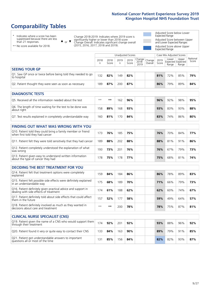# **Comparability Tables**

\* Indicates where a score has been suppressed because there are less than 21 responses.

\*\* No score available for 2018.

 $\triangle$  or  $\nabla$ 

Change 2018-2019: Indicates where 2019 score is significantly higher or lower than 2018 score Change Overall: Indicates significant change overall (2015, 2016, 2017, 2018 and 2019).

Adjusted Score below Lower Expected Range Adjusted Score between Upper and Lower Expected Ranges Adjusted Score above Upper Expected Range

|                                                                             | Case Mix Adjusted Scores<br>Unadjusted Scores |               |           |               |                                                      |         |               |                |                                     |                   |
|-----------------------------------------------------------------------------|-----------------------------------------------|---------------|-----------|---------------|------------------------------------------------------|---------|---------------|----------------|-------------------------------------|-------------------|
|                                                                             | 2018<br>n                                     | 2018<br>Score | 2019<br>n | 2019<br>Score | $\cdot$   Change   Change   $\cdot$<br>2018-<br>2019 | Overall | 2019<br>Score | Lower<br>Range | Upper<br>Expected Expected<br>Range | National<br>Score |
| <b>SEEING YOUR GP</b>                                                       |                                               |               |           |               |                                                      |         |               |                |                                     |                   |
| Q1. Saw GP once or twice before being told they needed to go<br>to hospital | 132                                           | 82%           | 149       | 82%           |                                                      |         | 81%           | 72%            | 85%                                 | 79%               |
| Q2. Patient thought they were seen as soon as necessary                     | 189                                           | 87%           | 200       | 87%           |                                                      |         | 86%           | 79%            | 89%                                 | 84%               |
| <b>DIAGNOSTIC TESTS</b>                                                     |                                               |               |           |               |                                                      |         |               |                |                                     |                   |

| -----------------                                                         |      |     |     |     |  |     |     |     |     |
|---------------------------------------------------------------------------|------|-----|-----|-----|--|-----|-----|-----|-----|
| Q5. Received all the information needed about the test                    | $**$ | **  | 62  | 96% |  | 96% | 92% | 98% | 95% |
| Q6. The length of time waiting for the test to be done was<br>about right | 158  | 89% | 168 | 93% |  | 93% | 83% | 93% | 88% |
| Q7. Test results explained in completely understandable way               | 160  | 81% | 70  | 84% |  | 83% | 74% | 86% | 80% |

| <b>FINDING OUT WHAT WAS WRONG WITH YOU</b>                                                      |     |     |     |     |     |     |     |     |
|-------------------------------------------------------------------------------------------------|-----|-----|-----|-----|-----|-----|-----|-----|
| Q10. Patient told they could bring a family member or friend<br>when first told they had cancer | 173 | 76% | 185 | 75% | 76% | 70% | 84% | 77% |
| Q11. Patient felt they were told sensitively that they had cancer                               | 189 | 88% | 202 | 88% | 88% | 81% | 91% | 86% |
| Q12. Patient completely understood the explanation of what<br>was wrong                         | 193 | 73% | 201 | 76% | 76% | 67% | 79% | 73% |
| Q13. Patient given easy to understand written information<br>about the type of cancer they had  | 178 | 75% | 178 | 77% | 75% | 68% | 81% | 74% |

| <b>DECIDING THE BEST TREATMENT FOR YOU</b>                                                              |      |     |     |     |  |     |     |     |     |
|---------------------------------------------------------------------------------------------------------|------|-----|-----|-----|--|-----|-----|-----|-----|
| Q14. Patient felt that treatment options were completely<br>explained                                   | 159  | 84% | 184 | 86% |  | 86% | 78% | 89% | 83% |
| Q15. Patient felt possible side effects were definitely explained<br>in an understandable way           | 175  | 68% | 189 | 70% |  | 71% | 66% | 79% | 73% |
| Q16. Patient definitely given practical advice and support in<br>dealing with side effects of treatment | 174  | 61% | 188 | 62% |  | 62% | 60% | 74% | 67% |
| Q17. Patient definitely told about side effects that could affect<br>them in the future                 | 157  | 52% | 177 | 58% |  | 59% | 49% | 64% | 57% |
| Q18. Patient definitely involved as much as they wanted in<br>decisions about care and treatment        | $**$ | **  | 200 | 78% |  | 78% | 75% | 87% | 81% |

| <b>CLINICAL NURSE SPECIALIST (CNS)</b>                                                    |                 |     |     |     |     |     |     |     |
|-------------------------------------------------------------------------------------------|-----------------|-----|-----|-----|-----|-----|-----|-----|
| Q19. Patient given the name of a CNS who would support them<br>through their treatment    | 174             | 92% | 201 | 92% | 93% | 88% | 96% | 92% |
| Q20. Patient found it very or quite easy to contact their CNS                             | 133             | 84% | 163 | 90% | 89% | 79% | 91% | 85% |
| Q21. Patient got understandable answers to important<br>questions all or most of the time | 13 <sup>1</sup> | 85% | 156 | 84% | 82% | 82% | 93% | 87% |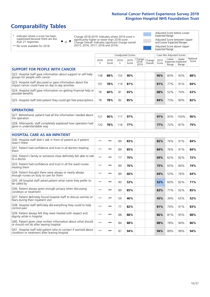# **Comparability Tables**

\* Indicates where a score has been suppressed because there are less than 21 responses.

\*\* No score available for 2018.

 $\triangle$  or  $\nabla$ 

Change 2018-2019: Indicates where 2019 score is significantly higher or lower than 2018 score Change Overall: Indicates significant change overall (2015, 2016, 2017, 2018 and 2019).

Adjusted Score below Lower Expected Range Adjusted Score between Upper and Lower Expected Ranges Adjusted Score above Upper Expected Range

|                                                                                                                   |              |               | <b>Unadjusted Scores</b> |               |                         |                   |               | Case Mix Adjusted Scores            |                |                   |
|-------------------------------------------------------------------------------------------------------------------|--------------|---------------|--------------------------|---------------|-------------------------|-------------------|---------------|-------------------------------------|----------------|-------------------|
|                                                                                                                   | 2018<br>n    | 2018<br>Score | 2019<br>n.               | 2019<br>Score | Change<br>2018-<br>2019 | Change<br>Overall | 2019<br>Score | Lower<br>Expected Expected<br>Range | Upper<br>Range | National<br>Score |
| <b>SUPPORT FOR PEOPLE WITH CANCER</b>                                                                             |              |               |                          |               |                         |                   |               |                                     |                |                   |
| Q22. Hospital staff gave information about support or self-help<br>groups for people with cancer                  | 138          | 88%           | 155                      | 90%           |                         |                   | 90%           | 83%                                 | 93%            | 88%               |
| Q23. Hospital staff discussed or gave information about the<br>impact cancer could have on day to day activities  | 101          | 78%           | 119                      | 81%           |                         |                   | 81%           | 77%                                 | 91%            | 84%               |
| Q24. Hospital staff gave information on getting financial help or<br>possible benefits                            | 78           | 60%           | 81                       | 65%           |                         |                   | 68%           | 52%                                 | 74%            | 63%               |
| Q25. Hospital staff told patient they could get free prescriptions                                                | 78           | 78%           | 82                       | 85%           |                         |                   | 84%           | 73%                                 | 90%            | 82%               |
| <b>OPERATIONS</b>                                                                                                 |              |               |                          |               |                         |                   |               |                                     |                |                   |
| Q27. Beforehand, patient had all the information needed about<br>the operation                                    | 121          | 96%           | 117                      | 97%           |                         |                   | 97%           | 93%                                 | 100%           | 96%               |
| Q28. Afterwards, staff completely explained how operation had<br>gone in understandable way                       | 120          | 78%           | 118                      | 77%           |                         |                   | 77%           | 72%                                 | 87%            | 79%               |
| <b>HOSPITAL CARE AS AN INPATIENT</b>                                                                              |              |               |                          |               |                         |                   |               |                                     |                |                   |
| Q30. Hospital staff didn't talk in front of patient as if patient<br>wasn't there                                 | $* *$        | **            | 89                       | 83%           |                         |                   | 82%           | 76%                                 | 91%            | 84%               |
| Q31. Patient had confidence and trust in all doctors treating<br>them                                             | $* *$        | $***$         | 89                       | 85%           |                         |                   | 84%           | 76%                                 | 91%            | 84%               |
| Q32. Patient's family or someone close definitely felt able to talk<br>to a doctor                                | $* *$        | **            | 77                       | 70%           |                         |                   | 69%           | 62%                                 | 82%            | 72%               |
| Q33. Patient had confidence and trust in all the ward nurses<br>treating them                                     | $\star\star$ | **            | 89                       | 76%           |                         |                   | 75%           | 65%                                 | 84%            | 74%               |
| Q34. Patient thought there were always or nearly always<br>enough nurses on duty to care for them                 | $* *$        | **            | 89                       | 66%           |                         |                   | 64%           | 53%                                 | 76%            | 64%               |
| Q35. All hospital staff asked patient what name they prefer to<br>be called by                                    | $* *$        | **            | 90                       | 53%           |                         |                   | 52%           | 60%                                 | 82%            | 71%               |
| Q36. Patient always given enough privacy when discussing<br>condition or treatment                                | $**$         | $***$         | 89                       | 85%           |                         |                   | 83%           | 77%                                 | 92%            | 85%               |
| Q37. Patient definitely found hospital staff to discuss worries or<br>fears during their inpatient visit          | $**$         | **            | 59                       | 46%           |                         |                   | 45%           | 39%                                 | 65%            | 52%               |
| Q38. Hospital staff definitely did everything they could to help<br>control pain                                  | $* *$        | **            | 77                       | 82%           |                         |                   | 81%           | 74%                                 | 91%            | 83%               |
| Q39. Patient always felt they were treated with respect and<br>dignity while in hospital                          | $***$        | **            | 88                       | 88%           |                         |                   | 86%           | 81%                                 | 95%            | 88%               |
| Q40. Patient given clear written information about what should<br>or should not do after leaving hospital         | $**$         | **            | 84                       | 88%           |                         |                   | 88%           | 78%                                 | 94%            | 86%               |
| Q41. Hospital staff told patient who to contact if worried about<br>condition or treatment after leaving hospital | $**$         | **            | 87                       | 94%           |                         |                   | 94%           | 89%                                 | 99%            | 94%               |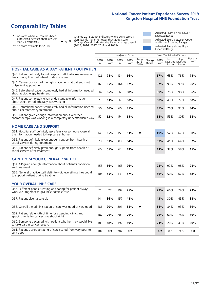# **Comparability Tables**

\* Indicates where a score has been suppressed because there are less than 21 responses.

\*\* No score available for 2018.

 $\triangle$  or  $\nabla$ 

Change 2018-2019: Indicates where 2019 score is significantly higher or lower than 2018 score Change Overall: Indicates significant change overall (2015, 2016, 2017, 2018 and 2019).

Adjusted Score below Lower Expected Range Adjusted Score between Upper and Lower Expected Ranges Adjusted Score above Upper Expected Range

|                                                                                                                       |              |               |            | <b>Unadjusted Scores</b> |                         |                   |               | Case Mix Adjusted Scores            |                |                   |
|-----------------------------------------------------------------------------------------------------------------------|--------------|---------------|------------|--------------------------|-------------------------|-------------------|---------------|-------------------------------------|----------------|-------------------|
|                                                                                                                       | 2018<br>n    | 2018<br>Score | 2019<br>n. | 2019<br>Score            | Change<br>2018-<br>2019 | Change<br>Overall | 2019<br>Score | Lower<br>Expected Expected<br>Range | Upper<br>Range | National<br>Score |
| <b>HOSPITAL CARE AS A DAY PATIENT / OUTPATIENT</b>                                                                    |              |               |            |                          |                         |                   |               |                                     |                |                   |
| Q43. Patient definitely found hospital staff to discuss worries or<br>fears during their outpatient or day case visit | 126          | 71%           | 134        | 66%                      |                         |                   | 67%           | 63%                                 | 78%            | 71%               |
| Q44. Cancer doctor had the right documents at patient's last<br>outpatient appointment                                | 163          | 95%           | 164        | 97%                      |                         |                   | 97%           | 93%                                 | 99%            | 96%               |
| Q46. Beforehand patient completely had all information needed<br>about radiotherapy treatment                         | 34           | 85%           | 32         | 88%                      |                         |                   | 89%           | 75%                                 | 98%            | 86%               |
| Q47. Patient completely given understandable information<br>about whether radiotherapy was working                    | 23           | 61%           | 32         | 50%                      |                         |                   | 50%           | 43%                                 | 77%            | 60%               |
| Q49. Beforehand patient completely had all information needed<br>about chemotherapy treatment                         | 56           | 66%           | 66         | 85%                      |                         |                   | 85%           | 76%                                 | 93%            | 84%               |
| Q50. Patient given enough information about whether<br>chemotherapy was working in a completely understandable way    | 52           | 62%           | 54         | 65%                      |                         |                   | 61%           | 55%                                 | 80%            | 68%               |
| <b>HOME CARE AND SUPPORT</b>                                                                                          |              |               |            |                          |                         |                   |               |                                     |                |                   |
| Q51. Hospital staff definitely gave family or someone close all<br>the information needed to help care at home        | 140          | 65%           | 156        | 51%                      | ▼                       |                   | 49%           | 52%                                 | 67%            | 60%               |
| Q52. Patient definitely given enough support from health or<br>social services during treatment                       | 79           | 53%           | 89         | 54%                      |                         |                   | 53%           | 41%                                 | 64%            | 52%               |
| Q53. Patient definitely given enough support from health or<br>social services after treatment                        | 60           | 55%           | 63         | 43%                      |                         |                   | 41%           | 32%                                 | 58%            | 45%               |
| CARE FROM YOUR GENERAL PRACTICE                                                                                       |              |               |            |                          |                         |                   |               |                                     |                |                   |
| Q54. GP given enough information about patient's condition<br>and treatment                                           | 158          | 86%           | 168        | 96%                      |                         |                   | 95%           | 92%                                 | 98%            | 95%               |
| Q55. General practice staff definitely did everything they could<br>to support patient during treatment               | 104          | 55%           | 133        | 57%                      |                         |                   | 56%           | 50%                                 | 67%            | 58%               |
| <b>YOUR OVERALL NHS CARE</b>                                                                                          |              |               |            |                          |                         |                   |               |                                     |                |                   |
| Q56. Different people treating and caring for patient always<br>work well together to give best possible care         | $\star\star$ | $\star\star$  | 199        | 75%                      |                         |                   | 73%           | 66%                                 | 79%            | 73%               |
| Q57. Patient given a care plan                                                                                        | 144          | 36%           | 157        | 41%                      |                         |                   | 43%           | 30%                                 | 45%            | 38%               |
| Q58. Overall the administration of care was good or very good                                                         | 186          | 90%           | 201        | 85%                      | $\overline{\textbf{v}}$ |                   | 84%           | 84%                                 | 93%            | 89%               |
| Q59. Patient felt length of time for attending clinics and<br>appointments for cancer was about right                 | 187          | 76%           | 203        | 76%                      |                         |                   | 76%           | 60%                                 | 78%            | 69%               |
| Q60. Someone discussed with patient whether they would like<br>to take part in cancer research                        | 180          | 18%           | 192        | 19%                      |                         |                   | 21%           | 20%                                 | 41%            | 30%               |
| Q61. Patient's average rating of care scored from very poor to<br>very good                                           | 189          | 8.9           | 202        | 8.7                      |                         |                   | 8.7           | 8.6                                 | 9.0            | 8.8               |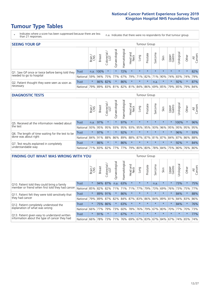# **Tumour Type Tables**

- \* Indicates where a score has been suppressed because there are less than 21 responses.
- n.a. Indicates that there were no respondents for that tumour group.

| <b>SEEING YOUR GP</b>                           |          |              |               |                   |                |                |                                         |         | Tumour Group |         |         |                 |                                         |         |                |
|-------------------------------------------------|----------|--------------|---------------|-------------------|----------------|----------------|-----------------------------------------|---------|--------------|---------|---------|-----------------|-----------------------------------------|---------|----------------|
|                                                 |          | Brain<br>CNS | <b>Breast</b> | Colorectal<br>LGT | Gynaecological | Haematological | Head and<br>Neck                        | Lung    | Prostate     | Sarcoma | Skin    | Upper<br>Gastro | $\overline{\sigma}$<br>Jrologica        | Other   | All<br>Cancers |
| Q1. Saw GP once or twice before being told they | Trust    |              | n.a. 100%     | $\star$           |                | 72%            | $\star$                                 | $\star$ | $\star$      | $\star$ | $\star$ | $\star$         | $\star$                                 | $\star$ | 82%            |
| needed to go to hospital                        | National | 59%          |               |                   | 94% 75% 77%    |                |                                         |         |              |         |         |                 | 67% 79% 71% 82% 71% 90% 74% 83% 74% 79% |         |                |
| Q2. Patient thought they were seen as soon as   | Trust    | $\star$      | 86% 82%       |                   | $\star$        | 86%            | $\star$                                 | $\star$ | $\star$      | n.a.    | $\star$ | $\star$         | 92%                                     | $\star$ | 87%            |
| necessary                                       | National | 79%          |               |                   |                |                | 89% 83% 81% 82% 81% 84% 86% 69% 85% 79% |         |              |         |         |                 | 85% 79%                                 |         | 84%            |

#### **DIAGNOSTIC TESTS** Tumour Group

|                                                   |              | Brain   | <b>Breast</b> | Colorectal<br>LGT           | ᠊ᢛ<br>Gynaecologic | Haematological | Head and<br>Neck | Lung        | Prostate | Sarcoma | Skin    | Upper<br>Gastro | rological                                   | Other   | All<br>Cancers |
|---------------------------------------------------|--------------|---------|---------------|-----------------------------|--------------------|----------------|------------------|-------------|----------|---------|---------|-----------------|---------------------------------------------|---------|----------------|
| Q5. Received all the information needed about     | <b>Trust</b> | n.a.    | 97%           |                             | $\star$            | 97%            | $\star$          | $\star$     | $\star$  | $\star$ | $\star$ | $\star$         | 100%                                        | $\star$ | 96%            |
| the test                                          | National     | 93%     | 95%           | 95%                         | 93%                | 95%            |                  | 93% 95% 95% |          | 93%     | 96%     | 95%             | 95%                                         | 95%     | 95%            |
| Q6. The length of time waiting for the test to be | Trust        | $\star$ | 97%           |                             | $\star$            | 92%            | $\star$          | $\star$     | $\star$  | $\star$ | $\star$ | $\star$         | 96%                                         | $\star$ | 93%            |
| done was about right                              | National     |         | 84% 91%       | 88%                         |                    |                |                  |             |          |         |         |                 | 86% 89% 88% 87% 87% 81% 87% 84% 87% 86% 88% |         |                |
| Q7. Test results explained in completely          | Trust        | $\star$ | 86%           | $\star$                     | $\star$            | 86%            | $\star$          | $\star$     | $\star$  | $\star$ | $\star$ | $\star$         | 92%                                         | $\star$ | 84%            |
| understandable way                                | National 71% |         |               | 83% 82% 77% 77% 79% 80% 80% |                    |                |                  |             |          |         |         |                 | 78% 84% 75% 80% 76% 80%                     |         |                |

| <b>FINDING OUT WHAT WAS WRONG WITH YOU</b>        |              |         |               |                             |                |                |                        |             | <b>Tumour Group</b> |         |         |                 |            |         |                |
|---------------------------------------------------|--------------|---------|---------------|-----------------------------|----------------|----------------|------------------------|-------------|---------------------|---------|---------|-----------------|------------|---------|----------------|
|                                                   |              | Brain   | <b>Breast</b> | ╮<br>olorectal.<br>LGT<br>Ũ | Gynaecological | Haematological | ad and<br>Neck<br>Head | Lung        | Prostate            | Sarcoma | Skin    | Upper<br>Gastro | Jrological | Other   | All<br>Cancers |
| Q10. Patient told they could bring a family       | <b>Trust</b> | $\star$ | 94%           | 87%                         | n.a.           | 63%            | $\star$                | $\star$     | $\star$             | n.a.    | $\star$ | $\star$         | 73%        | $\star$ | 75%            |
| member or friend when first told they had cancer  | National     | 85%     | 82%           | 82%                         | 71%            | 71%            | 71%                    | 77%         | 79%                 | 73%     | 69%     | 76%             | 73%        | 75%     | 77%            |
| Q11. Patient felt they were told sensitively that | Trust        | $\star$ | 89%           | 91%                         | $\star$        | 86%            | $\star$                | $\star$     | $\star$             | $\star$ | $\star$ | $\star$         | 84%        | $\star$ | 88%            |
| they had cancer                                   | National     | 79%     | 89%           | 87%                         | 82%            |                |                        | 84% 87% 83% | 86%                 | 84%     | 89%     | 81%             | 84% 83%    |         | 86%            |
| Q12. Patient completely understood the            | Trust        | $\star$ | 75%           | 86%                         |                | 63%            | $\star$                | $\star$     | $\star$             | $\star$ | $\star$ | $\star$         | 84%        | $\star$ | 76%            |
| explanation of what was wrong                     | National     | 66%     | 77%           | 79%                         | 73%            | 60%            | 78%                    | 76%         | 79%                 | 67%     | 80%     | 70%             | 77%        | 70%     | 73%            |
| Q13. Patient given easy to understand written     | Trust        | $\star$ | 91%           | $\star$                     | $\star$        | 67%            | $\star$                | $\star$     | $\star$             | $\star$ | $\star$ | $\star$         | $\star$    | $\star$ | 77%            |
| information about the type of cancer they had     | National     | 66%     | 78%           | 73%                         | 71%            |                |                        |             | 76% 69% 67% 83%     | 67%     | 84%     |                 | 67% 74%    | 65%     | 74%            |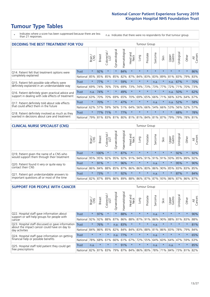# **Tumour Type Tables**

\* Indicates where a score has been suppressed because there are less than 21 responses.

n.a. Indicates that there were no respondents for that tumour group.

| <b>DECIDING THE BEST TREATMENT FOR YOU</b>         |          |         |               |                             |                |                |                         |         | Tumour Group |                                         |         |                 |            |         |                |
|----------------------------------------------------|----------|---------|---------------|-----------------------------|----------------|----------------|-------------------------|---------|--------------|-----------------------------------------|---------|-----------------|------------|---------|----------------|
|                                                    |          | Brain   | <b>Breast</b> | olorectal.<br>LGT<br>$\cup$ | Gynaecological | Haematological | ead and<br>Neck<br>Head | Lung    | Prostate     | arcoma<br>$\sqrt{ }$                    | Skin    | Upper<br>Gastro | Jrological | Other   | All<br>Cancers |
| Q14. Patient felt that treatment options were      | Trust    | $\star$ | 92%           | $\star$                     | $\star$        | 84%            | $\star$                 | $\star$ | $\star$      | $\star$                                 | $\star$ | $\star$         | $\star$    | $\star$ | 86%            |
| completely explained                               | National | 85%     | 85%           | 85%                         | 85%            | 82%            | 87%                     | 84%     | 83%          | 83%                                     | 89%     | 81%             | 83%        | 79%     | 83%            |
| Q15. Patient felt possible side effects were       | Trust    | $\star$ | 77%           | $\star$                     | $\star$        | 59%            | $\star$                 | $\star$ | $\star$      | n.a.                                    | $\star$ | n.a.            | 67%        | $\star$ | 70%            |
| definitely explained in an understandable way      | National | 69%     | 74%           | 76%                         | 75%            | 69%            | 73%                     | 74%     | 73%          | 73%                                     | 77%     | 72%             | 71%        | 70%     | 73%            |
| Q16. Patient definitely given practical advice and | Trust    | n.a.    | 74%           |                             | $\star$        | 49%            | $\star$                 | $\star$ | $\star$      | $\star$                                 | $\star$ | n.a.            | 50%        | $\star$ | 62%            |
| support in dealing with side effects of treatment  | National | 63%     | 70%           | 70%                         | 69%            | 65%            | 70%                     | 69%     | 65%          | 66%                                     | 71%     | 66%             | 63%        | 64%     | 67%            |
| Q17. Patient definitely told about side effects    | Trust    | $\star$ | 70%           | $\star$                     | $\star$        | 47%            | $\star$                 | $\star$ | $\star$      | n.a.                                    | $\star$ | n.a.            | 52%        | $\star$ | 58%            |
| that could affect them in the future               | National | 62%     | 57%           | 59%                         | 56%            | 51%            | 64%                     | 56%     | 66%          | 54%                                     | 66%     | 53%             | 56%        | 52%     | 57%            |
| Q18. Patient definitely involved as much as they   | Trust    | $\star$ | 77%           | 71%                         | $\star$        | 77%            | $\star$                 | $\star$ | $\star$      | $\star$                                 | $\star$ | $\star$         | 68%        | $\star$ | 78%            |
| wanted in decisions about care and treatment       | National | 79%     |               |                             |                |                |                         |         |              | 81% 83% 81% 80% 81% 81% 84% 81% 87% 79% |         |                 | 79%        | 78% 81% |                |

#### **CLINICAL NURSE SPECIALIST (CNS)** Tumour Group

|                                                            |              | Brain<br>CNS | <b>Breast</b> | Colorectal<br>LGT | $\sigma$<br>aecologic<br>Ğ | ক<br>aematologic | Head and<br>Neck        | Lung            | Prostate | Sarcoma | Skin    | Upper<br>Gastro | $\sigma$<br>rologica | Other   | All<br>Cancers |
|------------------------------------------------------------|--------------|--------------|---------------|-------------------|----------------------------|------------------|-------------------------|-----------------|----------|---------|---------|-----------------|----------------------|---------|----------------|
| Q19. Patient given the name of a CNS who                   | <b>Trust</b> | $\star$      | 100%          |                   |                            | 87%              | $\star$                 | $\star$         | $\star$  | $\star$ | $\star$ | $\star$         | 92%                  | $\star$ | 92%            |
| would support them through their treatment                 | National     | 95%          | 95%           | 92%               | 95%                        | 92%              | 91%                     | 94% 91%         |          | 91%     | 91%     | 93%             | 85%                  | 89%     | 92%            |
| Q20. Patient found it very or quite easy to                | <b>Trust</b> | $\star$      | 91%           |                   | $\star$                    | 96%              | $\star$                 | $\star$         | $\star$  | n.a.    | $\star$ | $\star$         | 95%                  | $\ast$  | 90%            |
| contact their CNS                                          | National I   | 86%          | 84% 88%       |                   | 85%                        | 87%              |                         | 86%   86%   80% |          |         |         | 86% 90% 85%     |                      | 83% 83% | 85%            |
| . Patient got understandable answers to<br>O <sub>21</sub> | <b>Trust</b> | $\star$      | 73%           | $\star$           | $\star$                    | 92%              | $\star$                 | $\star$         | $\star$  | n.a.    | $\star$ | $\star$         | 87%                  | $\star$ | 84%            |
| important questions all or most of the time                | National 82% |              | 87%           | 89%               | 86%                        |                  | 89% 88% 86% 87% 87% 93% |                 |          |         |         | 86%             | 87%                  | 86%     | 87%            |

| <b>SUPPORT FOR PEOPLE WITH CANCER</b>                                                             |              |         |               |                        |                |                |                        |             | <b>Tumour Group</b> |         |         |                 |           |         |                |
|---------------------------------------------------------------------------------------------------|--------------|---------|---------------|------------------------|----------------|----------------|------------------------|-------------|---------------------|---------|---------|-----------------|-----------|---------|----------------|
|                                                                                                   |              | Brain   | <b>Breast</b> | olorectal.<br>LGT<br>Ũ | Gynaecological | Haematological | ad and<br>Neck<br>Head | Lung        | Prostate            | Sarcoma | Skin    | Upper<br>Gastro | Jrologica | Other   | All<br>Cancers |
| Q22. Hospital staff gave information about<br>support or self-help groups for people with         | <b>Trust</b> | $\star$ | 97%           | $\star$                | $\star$        | 88%            | $\star$                | $\star$     | $\star$             | n.a.    | $\star$ | $\star$         | $\star$   | $\star$ | 90%            |
| cancer                                                                                            | National     | 92%     | 92%           | 88%                    | 87%            | 86%            | 88%                    | 87%         | 91%                 | 86%     | 90%     | 88%             | 81%       | 83%     | 88%            |
| Q23. Hospital staff discussed or gave information<br>about the impact cancer could have on day to | Trust        | $\star$ | 76%           | $\star$                | n.a.           | 83%            | $\star$                | $\star$     | $\star$             | n.a.    | $\star$ | $\star$         | $\star$   | $\star$ | 81%            |
| day activities                                                                                    | National     | 84%     | 86%           | 85%                    | 82%            | 84%            | 84%                    | 83%         | 88%                 | 81%     | 86%     | 83%             | 78%       | 79%     | 84%            |
| Q24. Hospital staff gave information on getting                                                   | Trust        | $\star$ | $\star$       | $\star$                | n.a.           | 77%            | $\ast$                 | $\star$     | $\star$             | n.a.    | $\star$ | $\star$         | $\star$   | $\star$ | 65%            |
| financial help or possible benefits                                                               | National     | 78%     | 68%           | 61%                    | 66%            | 61%            | 67%                    | 72%         | 55%                 | 64%     | 60%     | 64%             | 47%       | 59%     | 63%            |
| Q25. Hospital staff told patient they could get                                                   | Trust        | n.a.    | $\star$       | $\star$                | $\star$        | 91%            | $\star$                | $\star$     | $\star$             | n.a.    | $\star$ | n.a.            | $\star$   | $\ast$  | 85%            |
| free prescriptions                                                                                | National     | 82%     | 81%           | 83%                    | 79%            | 87%            |                        | 84% 86% 80% |                     | 78%     | 71%     | 84%             | 73%       | 81%     | 82%            |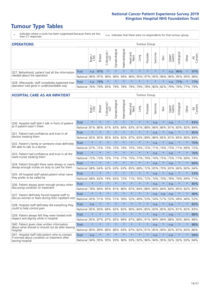# **Tumour Type Tables**

- \* Indicates where a score has been suppressed because there are less than 21 responses.
- n.a. Indicates that there were no respondents for that tumour group.

| <b>OPERATIONS</b>                                |          |              |               |                   |                   |                |                                        |         | Tumour Group |         |         |                 |            |           |                |
|--------------------------------------------------|----------|--------------|---------------|-------------------|-------------------|----------------|----------------------------------------|---------|--------------|---------|---------|-----------------|------------|-----------|----------------|
|                                                  |          | Brain<br>CNS | <b>Breast</b> | Colorectal<br>LGT | ত<br>Gynaecologic | Haematological | Head and<br>Neck                       | Lung    | Prostate     | Sarcoma | Skin    | Upper<br>Gastro | Jrological | Other     | All<br>Cancers |
| Q27. Beforehand, patient had all the information | Trust    | n.a.         | 97%           | $\star$           | $\star$           | $\star$        | $\star$                                | $\star$ | $\star$      | $\star$ | $\star$ | n.a.            | 96%        | $\star$   | 97%            |
| needed about the operation                       | National | 96%          |               | 97% 96%           | 96%               |                | 94% 96% 95% 97% 95% 96%                |         |              |         |         | 96%             |            | 95% 95%   | 96%            |
| Q28. Afterwards, staff completely explained how  | Trust    | n.a.         | 79%           |                   | $\star$           | $\star$        | $\star$                                | $\star$ | $\star$      | $\star$ | $\star$ | n.a.            | 77%        | $\ast$    | 77%            |
| operation had gone in understandable way         | National | 76%          |               | 79% 83%           |                   |                | 79%  78%  79%  79%  78%  80%  82%  79% |         |              |         |         |                 |            | 76%   77% | 79%            |

#### **HOSPITAL CARE AS AN INPATIENT** Tumour Group

|                                                                                                  |              | Brain   | <b>Breast</b> | $\frac{\text{Colored}}{\text{LGT}}$ | Gynaecological | Haematological | Head and<br><b>Neck</b> | Lung        | Prostate | Sarcoma | Skin    | Upper<br>Gastro | Urological | Other   | Cancers<br>$\overline{\overline{z}}$ |
|--------------------------------------------------------------------------------------------------|--------------|---------|---------------|-------------------------------------|----------------|----------------|-------------------------|-------------|----------|---------|---------|-----------------|------------|---------|--------------------------------------|
| Q30. Hospital staff didn't talk in front of patient                                              | <b>Trust</b> | $\star$ | $\star$       | $\star$                             | $\star$        | $\star$        | $\star$                 | $\star$     | $\star$  | n.a.    | $\star$ | n.a.            | $\star$    | $\star$ | 83%                                  |
| as if patient wasn't there                                                                       | National     | 81%     | 86%           | 81%                                 | 83%            | 84%            | 83%                     | 81%         | 88%      | 86%     | 86%     | 81%             | 83%        | 82%     | 84%                                  |
| 031. Patient had confidence and trust in all                                                     | <b>Trust</b> | $\star$ | $\star$       | $\star$                             | $\star$        | $\star$        | $\star$                 | $\star$     | $\star$  | n.a.    | $\star$ | n.a.            | $\star$    | $\star$ | 85%                                  |
| doctors treating them                                                                            | National     | 82%     | 83%           | 85%                                 | 83%            | 82%            | 87%                     | 83%         | 89%      | 86%     | 85%     | 81%             | 85%        | 80%     | 84%                                  |
| Q32. Patient's family or someone close definitely                                                | <b>Trust</b> | $\star$ | $\star$       | $\star$                             | $\star$        | $\star$        | $\star$                 | $\star$     | $\star$  | n.a.    | $\star$ | n.a.            | $\star$    | $\star$ | 70%                                  |
| felt able to talk to a doctor                                                                    | National     | 67%     | 72%           | 73%                                 | 72%            | 74%            | 75%                     | 74%         | 72%      | 71%     | 74%     | 73%             | 71%        | 69%     | 72%                                  |
| Q33. Patient had confidence and trust in all the                                                 | <b>Trust</b> | $\star$ | $\star$       | $\star$                             | $\star$        | $\star$        | $\star$                 | $\star$     | $\star$  | n.a.    | $\star$ | n.a.            | $\star$    | $\star$ | 76%                                  |
| ward nurses treating them                                                                        | National     | 72%     | 73%           | 72%                                 | 71%            | 77%            |                         | 75% 77%     | 79%      | 74%     | 75%     | 73%             | 77%        | 69%     | 74%                                  |
| Q34. Patient thought there were always or nearly                                                 | <b>Trust</b> | $\star$ | $\star$       | $\star$                             | $\star$        | $\star$        | $\star$                 | $\star$     | $\star$  | n.a.    | $\star$ | n.a.            | $\star$    | $\star$ | 66%                                  |
| always enough nurses on duty to care for them                                                    | National     | 68%     | 64%           | 62%                                 | 63%            | 63%            | 65%                     | 68%         | 72%      | 65%     | 70%     | 65%             | 66%        | 60%     | 64%                                  |
| Q35. All hospital staff asked patient what name                                                  | <b>Trust</b> | $\star$ | $\star$       | $\star$                             | $\star$        | $\star$        | $\star$                 | $\star$     | $\star$  | n.a.    | $\star$ | n.a.            | $\star$    | $\star$ | 53%                                  |
| they prefer to be called by                                                                      | National     | 68%     | 62%           | 74%                                 | 65%            | 72%            |                         | 71% 76%     | 72%      | 74%     | 70%     | 78%             | 76%        | 69%     | 71%                                  |
| Q36. Patient always given enough privacy when                                                    | <b>Trust</b> | $\star$ | $\star$       | $\star$                             | $\star$        | $\star$        | $\star$                 | $\star$     | $\star$  | n.a.    | $\star$ | n.a.            | $\star$    | $\star$ | 85%                                  |
| discussing condition or treatment                                                                | National     | 78%     | 84%           | 85%                                 | 81%            | 86%            |                         | 87% 84%     | 88%      | 84%     | 84%     | 84%             | 85%        | 82%     | 85%                                  |
| Q37. Patient definitely found hospital staff to                                                  | <b>Trust</b> | $\star$ | $\star$       | $\star$                             | $\star$        | $\star$        | $\star$                 | $\star$     | $\star$  | n.a.    | n.a.    | n.a.            | $\star$    | $\star$ | 46%                                  |
| discuss worries or fears during their inpatient visit                                            | National     | 45%     | 51%           | 55%                                 | 51%            | 56%            | 52%                     | 49%         | 53%      | 54%     | 51%     | 53%             | 49%        | 46%     | 52%                                  |
| Q38. Hospital staff definitely did everything they                                               | <b>Trust</b> | n.a.    | $\star$       | $\star$                             | $\star$        | $\star$        | $\star$                 | $\star$     | $\star$  | n.a.    | $\star$ | n.a.            | $\star$    | $\star$ | 82%                                  |
| could to help control pain                                                                       | National     | 85%     | 83%           | 84%                                 | 82%            | 82%            | 80%                     | 84%         | 85%      | 83%     | 85%     | 82%             | 81%        | 82%     | 83%                                  |
| Q39. Patient always felt they were treated with                                                  | <b>Trust</b> | $\star$ | $\star$       | $\star$                             | $\star$        | $\star$        | $\star$                 | $\star$     | $\star$  | n.a.    | $\star$ | n.a.            | $\star$    | $\star$ | 88%                                  |
| respect and dignity while in hospital                                                            | National     | 85%     | 87%           | 87%                                 | 85%            | 89%            |                         | 87% 88%     | 91%      | 89%     | 89%     | 88%             | 90%        | 86%     | 88%                                  |
| Q40. Patient given clear written information<br>about what should or should not do after leaving | <b>Trust</b> | $\star$ | $\star$       | $\star$                             | $\star$        | $\star$        | $\star$                 | $\star$     | $\star$  | n.a.    | $\star$ | n.a.            | $\star$    | $\star$ | 88%                                  |
| hospital                                                                                         | National     | 80%     | 89%           | 86%                                 | 86%            | 83%            | 87%                     | 82%         | 91%      | 85%     | 90%     | 82%             | 87%        | 83%     | 86%                                  |
| Q41. Hospital staff told patient who to contact<br>if worried about condition or treatment after | <b>Trust</b> | n.a.    | $\star$       | $\star$                             | $\star$        | $\star$        | $\star$                 | $\star$     | $\star$  | n.a.    | $\star$ | n.a.            | $\star$    | $\star$ | 94%                                  |
| leaving hospital                                                                                 | National     | 94%     | 95%           | 95% 93%                             |                |                |                         | 96% 93% 92% | 96%      | 94%     | 95%     | 92%             | 92%        | 93%     | 94%                                  |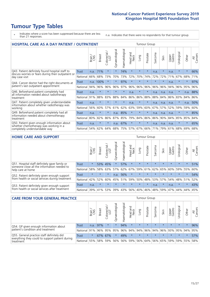# **Tumour Type Tables**

- \* Indicates where a score has been suppressed because there are less than 21 responses.
- n.a. Indicates that there were no respondents for that tumour group.

| <b>HOSPITAL CARE AS A DAY PATIENT / OUTPATIENT</b>                                                                    |              |       |               |                              |                |                |                         |         | <b>Tumour Group</b> |         |         |                 |            |         |                |  |  |  |  |  |  |  |  |
|-----------------------------------------------------------------------------------------------------------------------|--------------|-------|---------------|------------------------------|----------------|----------------|-------------------------|---------|---------------------|---------|---------|-----------------|------------|---------|----------------|--|--|--|--|--|--|--|--|
|                                                                                                                       |              | Brain | <b>Breast</b> | ╮<br>olorectal /<br>LGT<br>Ũ | Gynaecological | Haematological | ead and<br>Neck<br>Head | Lung    | Prostate            | Sarcoma | Skin    | Upper<br>Gastro | Urological | Other   | All<br>Cancers |  |  |  |  |  |  |  |  |
| Q43. Patient definitely found hospital staff to                                                                       | <b>Trust</b> | n.a.  | 71%           | $\star$                      | $\star$        | 74%            | $\star$                 | $\star$ | $\star$             | n.a.    | $\star$ | n.a.            | $\star$    | $\star$ | 66%            |  |  |  |  |  |  |  |  |
| discuss worries or fears during their outpatient or<br>day case visit                                                 | National     | 66%   | 68%           | 73%                          | 70%            | 73%            | 72%                     | 70%     | 74%                 | 72%     | 72%     | 71%             | 67%        | 68%     | 71%            |  |  |  |  |  |  |  |  |
| Q44. Cancer doctor had the right documents at<br>patient's last outpatient appointment                                | Trust        |       | n.a. 100%     | $\star$                      |                | 97%            | $\star$                 | $\star$ | $\star$             | $\star$ | $\star$ | n.a.            | $\star$    | $\ast$  | 97%            |  |  |  |  |  |  |  |  |
|                                                                                                                       | National     | 94%   | 96%           | 96%                          | 96%            | 97%            | 96%                     | 96%     | 96%                 | 96%     | 96%     | 94%             | 96%        | 95%     | 96%            |  |  |  |  |  |  |  |  |
| Q46. Beforehand patient completely had                                                                                | Trust        | n.a.  | $\star$       | $\star$                      | $\star$        | $\star$        | n.a.                    | $\star$ | $\star$             | n.a.    | n.a.    | n.a.            | $\star$    | n.a.    | 88%            |  |  |  |  |  |  |  |  |
| all information needed about radiotherapy<br>treatment                                                                | National     | 91%   | 88%           | 83%                          | 88%            | 84%            | 86%                     | 86%     | 88%                 | 88%     | 84%     | 86%             | 83%        | 84%     | 86%            |  |  |  |  |  |  |  |  |
| Q47. Patient completely given understandable                                                                          | Trust        | n.a.  | $\star$       | $\star$                      | $\star$        | $\star$        | n.a.                    | $\star$ | $\star$             | n.a.    | n.a.    | n.a.            | $\star$    | n.a.    | 50%            |  |  |  |  |  |  |  |  |
| information about whether radiotherapy was<br>working                                                                 | National     | 56%   | 60%           | 57%                          | 61%            | 62%            | 63%                     | 59%     | 60%                 | 67%     | 57%     | 52%             | 59%        | 59%     | 60%            |  |  |  |  |  |  |  |  |
| Q49. Beforehand patient completely had all                                                                            | Trust        | n.a.  | $\star$       | $\star$                      | n.a.           | 85%            | $\star$                 | $\star$ | $\star$             | n.a.    | n.a.    | n.a.            | $^\star$   | $\ast$  | 85%            |  |  |  |  |  |  |  |  |
| information needed about chemotherapy<br>treatment                                                                    | National     | 80%   | 82%           | 86%                          | 87%            | 85%            | 79%                     | 84%     | 86%                 | 86%     | 90%     | 84%             | 85%        | 85%     | 84%            |  |  |  |  |  |  |  |  |
| Q50. Patient given enough information about<br>whether chemotherapy was working in a<br>completely understandable way | Trust        | n.a.  | $\star$       | $\star$                      | n.a.           | 67%            | $\star$                 | $\star$ | $\star$             | n.a.    | n.a.    | n.a.            |            | 大       | 65%            |  |  |  |  |  |  |  |  |
|                                                                                                                       | National     | 54%   | 62%           | 64%                          | 68%            | 75%            |                         | 57% 67% | 66%                 | 71%     | 79%     | 61%             | 68%        | 69%     | 68%            |  |  |  |  |  |  |  |  |

#### **HOME CARE AND SUPPORT** Tumour Group

|                                                                                                                   |              | Brain   | <b>Breast</b> | olorectal<br>LGT<br>Ũ | ᢛ<br>Gynaecologic | Haematological | ad and<br>Neck<br>Head | <b>Dung</b> | Prostate | Sarcoma | Skin    | Upper<br>Gastro | rological | Other   | All<br>Cancers |
|-------------------------------------------------------------------------------------------------------------------|--------------|---------|---------------|-----------------------|-------------------|----------------|------------------------|-------------|----------|---------|---------|-----------------|-----------|---------|----------------|
| Q51. Hospital staff definitely gave family or<br>someone close all the information needed to<br>help care at home | Trust        | $\star$ | 53% 45%       |                       | $\star$           | 57%            | $\star$                | $\star$     | $\star$  | $\star$ | $\star$ | $\star$         | $\star$   | $\star$ | 51%            |
|                                                                                                                   | National     | 58%     | 58%           | 63%                   | 57%               | 62%            | 67%                    |             | 59% 61%  | 62% 65% |         | 60%             | 59% 55%   |         | 60%            |
| Q52. Patient definitely given enough support<br>from health or social services during treatment                   | <b>Trust</b> | $\star$ | $\star$       | $\star$               | n.a.              | 56%            | $\star$                | $\star$     | $\star$  | $\star$ | $\star$ | $\star$         | $\star$   | $\star$ | 54%            |
|                                                                                                                   | National     | 42%     | 52%           | 60%                   | 45%               | 51%            | 59%                    | 50%         | 48%      | 53%     | 57%     | 54%             | 48% 51%   |         | 52%            |
| Q53. Patient definitely given enough support<br>from health or social services after treatment                    | Trust        | n.a.    | $\star$       | $\star$               | $\star$           |                | $\star$                | $\star$     | $\star$  | n.a.    | $\star$ | n.a.            | $\star$   | $\star$ | 43%            |
|                                                                                                                   | National     | 39%     | 41%           | 53%                   | 39%               | 43%            | 56%                    | 40%         | 46%      | 48%     | 59%     | 47%             | 44%       | 44%     | 45%            |

| <b>CARE FROM YOUR GENERAL PRACTICE</b>                                                                     |              |         |               |                   |                |                |                  |         | Tumour Group    |         |         |                     |           |         |                |  |  |  |  |  |
|------------------------------------------------------------------------------------------------------------|--------------|---------|---------------|-------------------|----------------|----------------|------------------|---------|-----------------|---------|---------|---------------------|-----------|---------|----------------|--|--|--|--|--|
|                                                                                                            |              | Brain   | <b>Breast</b> | Colorectal<br>LGT | Gynaecological | Haematological | Head and<br>Neck | Lung    | Prostate        | Sarcoma | Skin    | Upper<br>Gastro     | Urologica | Other   | All<br>Cancers |  |  |  |  |  |
| Q54. GP given enough information about<br>patient's condition and treatment                                | Trust        | n.a.    | 97%           | $\star$           | $\star$        | 94%            | $\star$          | $\star$ | $\star$         | $\star$ | $\star$ | $\star$             | $\star$   | $\star$ | 96%            |  |  |  |  |  |
|                                                                                                            | National 91% |         |               | 96% 95%           | 95%            |                |                  |         | 96% 94% 94% 96% |         |         | 94% 96% 93% 95% 94% |           |         | 95%            |  |  |  |  |  |
| Q55. General practice staff definitely did<br>everything they could to support patient during<br>treatment | Trust        | $\star$ |               | 67% 67%           | $\star$        | 49%            | $\star$          | $\star$ | $\star$         | $\star$ | $\star$ | $\star$             | $\star$   | $\star$ | 57%            |  |  |  |  |  |
|                                                                                                            | National     | 55%     |               | 58% 59%           | 56%            |                | 56% 59%          |         | 56% 64%         |         | 56% 65% | 59% 59% 55%         |           |         | 58%            |  |  |  |  |  |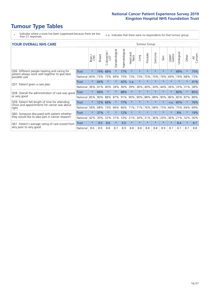# **Tumour Type Tables**

- \* Indicates where a score has been suppressed because there are less than 21 responses.
- n.a. Indicates that there were no respondents for that tumour group.

#### **YOUR OVERALL NHS CARE** THE TWO CONTROLLER THE THE THROUP CHANGE THE TUMOUR GROUP

|                                                                                                 |              | Brain<br>CNS | <b>Breast</b> | Colorectal<br>LGT | Gynaecological | Haematological | <b>Bad and</b><br>Neck<br>Head | Lung    | Prostate | arcoma<br>$\sqrt{ }$ | Skin    | Upper<br>Gastro | लु<br>Urologia | Other    | All<br>Cancers |
|-------------------------------------------------------------------------------------------------|--------------|--------------|---------------|-------------------|----------------|----------------|--------------------------------|---------|----------|----------------------|---------|-----------------|----------------|----------|----------------|
| Q56. Different people treating and caring for                                                   | <b>Trust</b> | $\star$      | 74%           | 68%               |                | 77%            | $\star$                        | $\star$ | $\star$  | $\star$              | $\star$ | $\star$         | 68%            | $^\star$ | 75%            |
| patient always work well together to give best<br>possible care                                 | National     | 60%          | 73%           | 73%               | 69%            | 75%            | 73%                            | 73%     | 75%      | 70%                  | 79%     | 69%             | 74%            | 68%      | 73%            |
| Q57. Patient given a care plan                                                                  | <b>Trust</b> | $\star$      | 64%           | $\star$           | $\star$        | 42%            | n.a.                           | $\star$ | $\star$  | $\star$              | $\star$ | $\star$         | $\star$        | $\star$  | 41%            |
|                                                                                                 | National     | 36%          | 41%           | 40%               | 34%            | 36%            | 39%                            | 36%     | 40%      | 34%                  | 44%     | 36%             | 33%            | 31%      | 38%            |
| Q58. Overall the administration of care was good                                                | <b>Trust</b> | $\star$      | 84%           |                   |                | 88%            | $\star$                        | $\star$ | $\star$  | $\star$              | $\star$ |                 | 80%            |          | 85%            |
| or very good                                                                                    | National     | 85%          | 90%           | 88%               | 87%            | 91%            | 90%                            | 90%     | 88%      | 88%                  | 90%     | 86%             | 85%            | 87%      | 89%            |
| Q59. Patient felt length of time for attending<br>clinics and appointments for cancer was about | <b>Trust</b> | $\star$      | 72%           | 68%               |                | 77%            | $\star$                        | $\star$ | $\star$  | $\star$              | $\star$ | n.a.            | 85%            | $\ast$   | 76%            |
| right                                                                                           | National     | 58%          | 68%           | 73%               | 66%            | 66%            | 71%                            | 71%     | 76%      | 68%                  | 73%     | 66%             | 75%            | 64%      | 69%            |
| Q60. Someone discussed with patient whether                                                     | <b>Trust</b> | $\star$      | 37%           | $\star$           |                | 12%            | $\star$                        | $\star$ | $\star$  | $\star$              | $\star$ | $\star$         | 8%             | $\star$  | 19%            |
| they would like to take part in cancer research                                                 | National     | 42%          | 30%           | 32%               | 31%            | 33%            | 21%                            | 34%     | 31%      | 36%                  | 20%     | 36%             | 21%            | 32%      | 30%            |
| Q61. Patient's average rating of care scored from<br>very poor to very good                     | Trust        | $\star$      | 9.0           | 8.6               | $\star$        | 9.0            | $\ast$                         | $\star$ | $\star$  | $\star$              | $\star$ | $\star$         | 8.4            | $\ast$   | 8.7            |
|                                                                                                 | National     | 8.6          | 8.9           | 8.8               | 8.7            | 8.9            | 8.8                            | 8.8     | 8.8      | 8.8                  | 8.9     | 8.7             | 8.7            | 8.7      | 8.8            |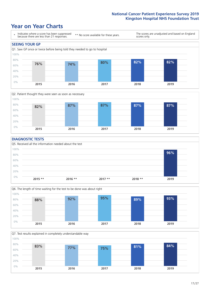### **Year on Year Charts**





#### **DIAGNOSTIC TESTS**





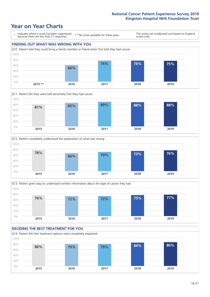### **Year on Year Charts**









#### **DECIDING THE BEST TREATMENT FOR YOU** Q14. Patient felt that treatment options were completely explained 0% 20% 40% 60% 80% 100% **2015 2016 2017 2018 2019 80% 79% 79% 84% 86%**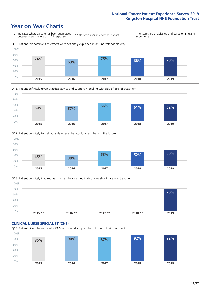





Q18. Patient definitely involved as much as they wanted in decisions about care and treatment  $0%$ 20% 40% 60% 80% 100% **2015 \*\* 2016 \*\* 2017 \*\* 2018 \*\* 2019 78%**

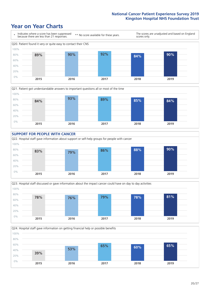### **Year on Year Charts**













 $20/27$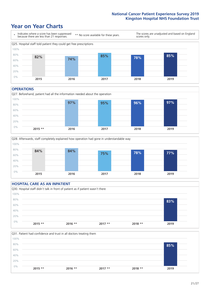### **Year on Year Charts**



#### **OPERATIONS**





#### **HOSPITAL CARE AS AN INPATIENT** Q30. Hospital staff didn't talk in front of patient as if patient wasn't there 0% 20% 40% 60% 80% 100% **2015 \*\* 2016 \*\* 2017 \*\* 2018 \*\* 2019 83%**

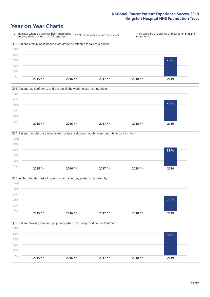







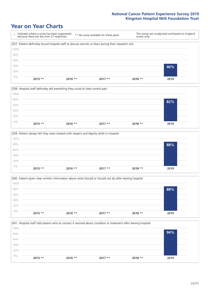







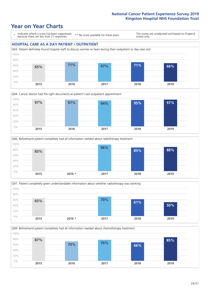







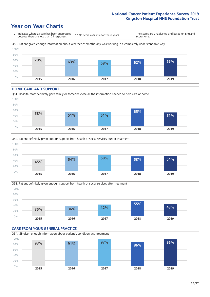### **Year on Year Charts**



#### **HOME CARE AND SUPPORT**







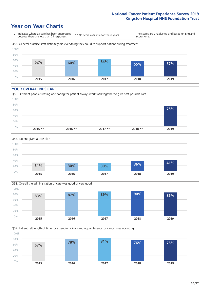### **Year on Year Charts**



#### **YOUR OVERALL NHS CARE**







Q59. Patient felt length of time for attending clinics and appointments for cancer was about right